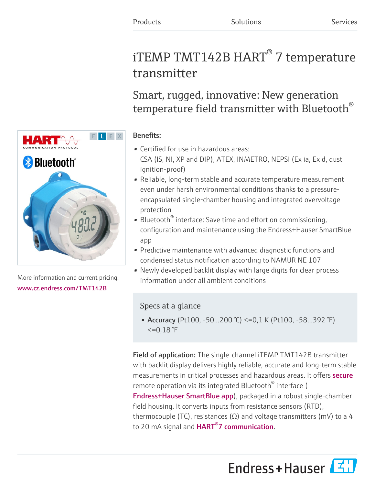# iTEMP TMT142B  $HART^{\circledast}$  7 temperature transmitter

Smart, rugged, innovative: New generation temperature field transmitter with Bluetooth $^\circ$ 

## Benefits:

- Certified for use in hazardous areas: CSA (IS, NI, XP and DIP), ATEX, INMETRO, NEPSI (Ex ia, Ex d, dust ignition-proof)
- Reliable, long-term stable and accurate temperature measurement even under harsh environmental conditions thanks to a pressureencapsulated single-chamber housing and integrated overvoltage protection
- Bluetooth<sup>®</sup> interface: Save time and effort on commissioning, configuration and maintenance using the Endress+Hauser SmartBlue app
- Predictive maintenance with advanced diagnostic functions and condensed status notification according to NAMUR NE 107
- Newly developed backlit display with large digits for clear process information under all ambient conditions

# Specs at a glance

• Accuracy (Pt100, -50...200 °C) <= 0,1 K (Pt100, -58...392 °F)  $\leq$  =0,18 °F

Field of application: The single-channel iTEMP TMT142B transmitter with backlit display delivers highly reliable, accurate and long-term stable measurements in critical processes and hazardous areas. It offers **[secure](https://www.endress.com/en/media-center/news-and-press-releases/cPace)** remote operation via its integrated Bluetooth® interface ( [Endress+Hauser SmartBlue app](https://www.endress.com/en/field-instruments-overview/measurement-technologies/SmartBlue-App)), packaged in a robust single-chamber field housing. It converts inputs from resistance sensors (RTD), thermocouple (TC), resistances ( $\Omega$ ) and voltage transmitters (mV) to a 4 to 20 mA signal and **HART<sup>®</sup>7 communication**.





More information and current pricing: [www.cz.endress.com/TMT142B](https://www.cz.endress.com/TMT142B)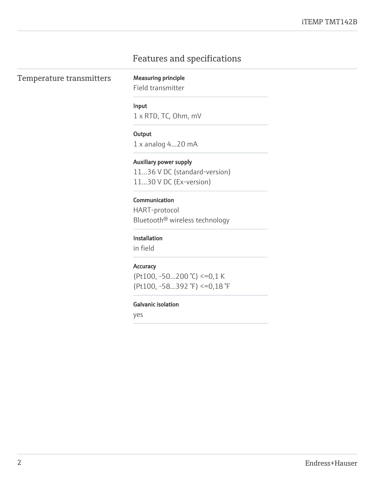# Features and specifications

Temperature transmitters Measuring principle

Field transmitter

#### Input

1 x RTD, TC, Ohm, mV

#### **Output**

1 x analog 4...20 mA

#### Auxiliary power supply

11…36 V DC (standard-version) 11...30 V DC (Ex-version)

## Communication

HART-protocol Bluetooth® wireless technology

#### Installation

in field

#### **Accuracy**

(Pt100, -50...200 °C) <=0,1 K (Pt100, -58...392 °F) <=0,18 °F

## Galvanic isolation

yes